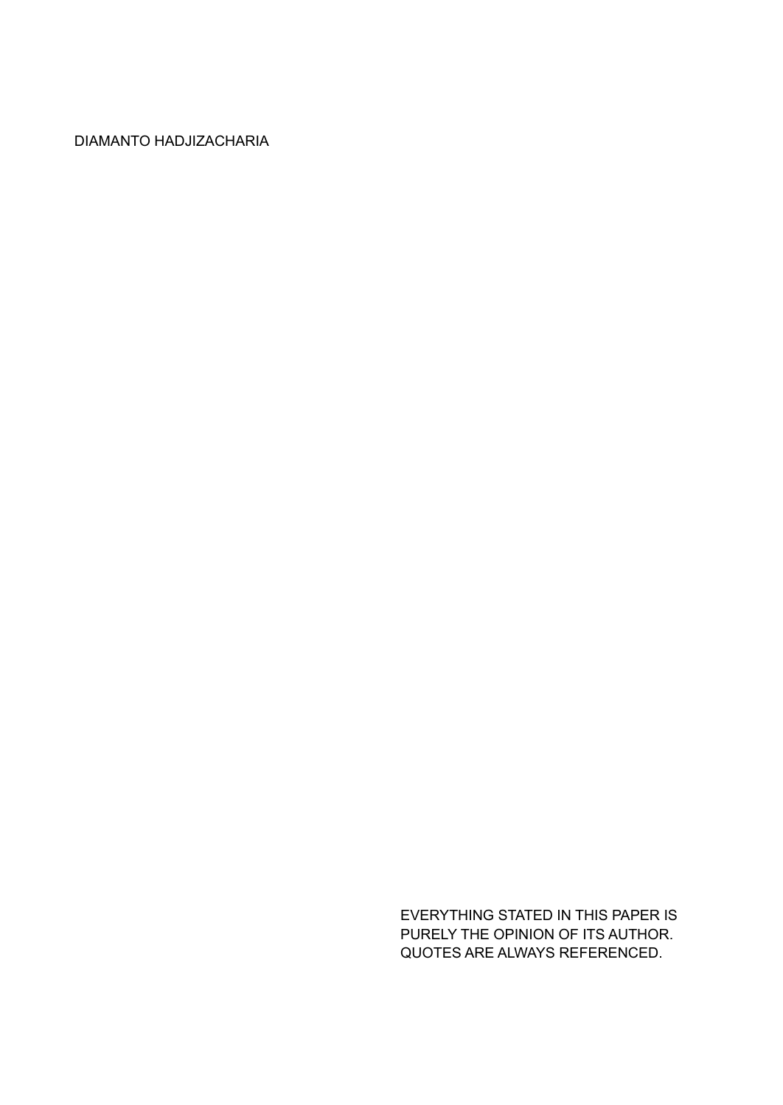DIAMANTO HADJIZACHARIA

EVERYTHING STATED IN THIS PAPER IS PURELY THE OPINION OF ITS AUTHOR. QUOTES ARE ALWAYS REFERENCED.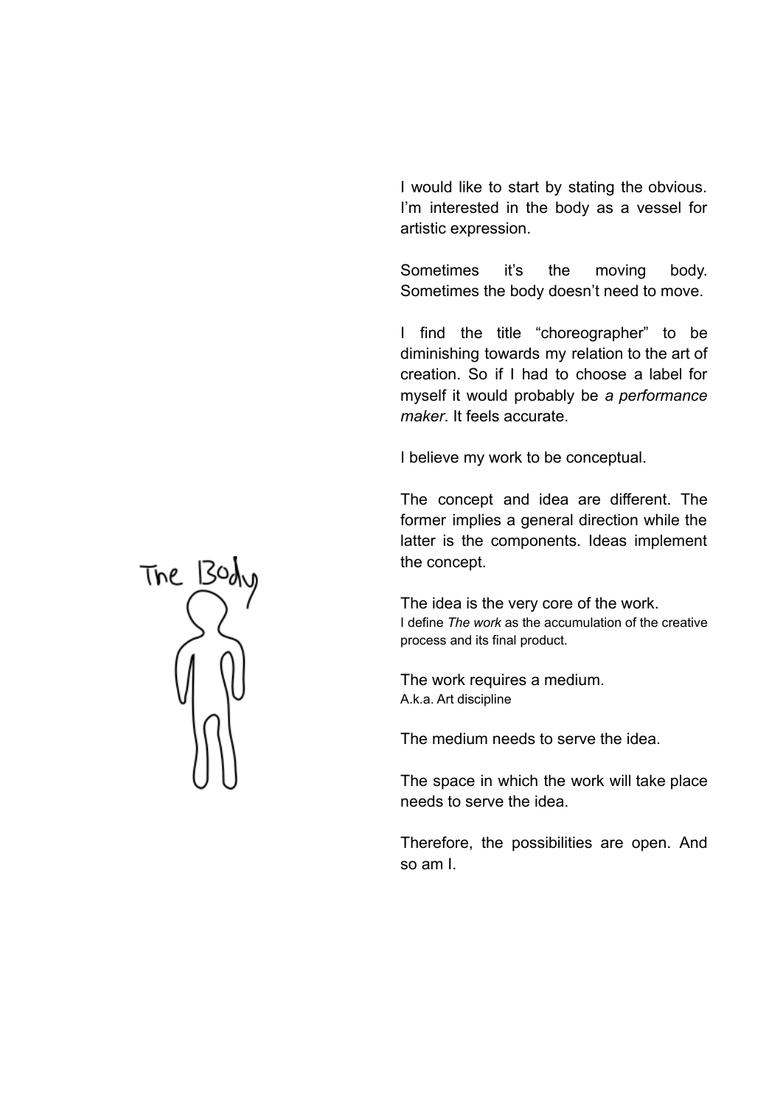I would like to start by stating the obvious. I'm interested in the body as a vessel for artistic expression.

Sometimes it's the moving body. Sometimes the body doesn't need to move.

I find the title "choreographer" to be diminishing towards my relation to the art of creation. So if I had to choose a label for myself it would probably be *a performance maker*. It feels accurate.

I believe my work to be conceptual.

The concept and idea are different. The former implies a general direction while the latter is the components. Ideas implement the concept.

The idea is the very core of the work. I define *The work* as the accumulation of the creative process and its final product.

The work requires a medium. A.k.a. Art discipline

The medium needs to serve the idea.

The space in which the work will take place needs to serve the idea.

Therefore, the possibilities are open. And so am I.

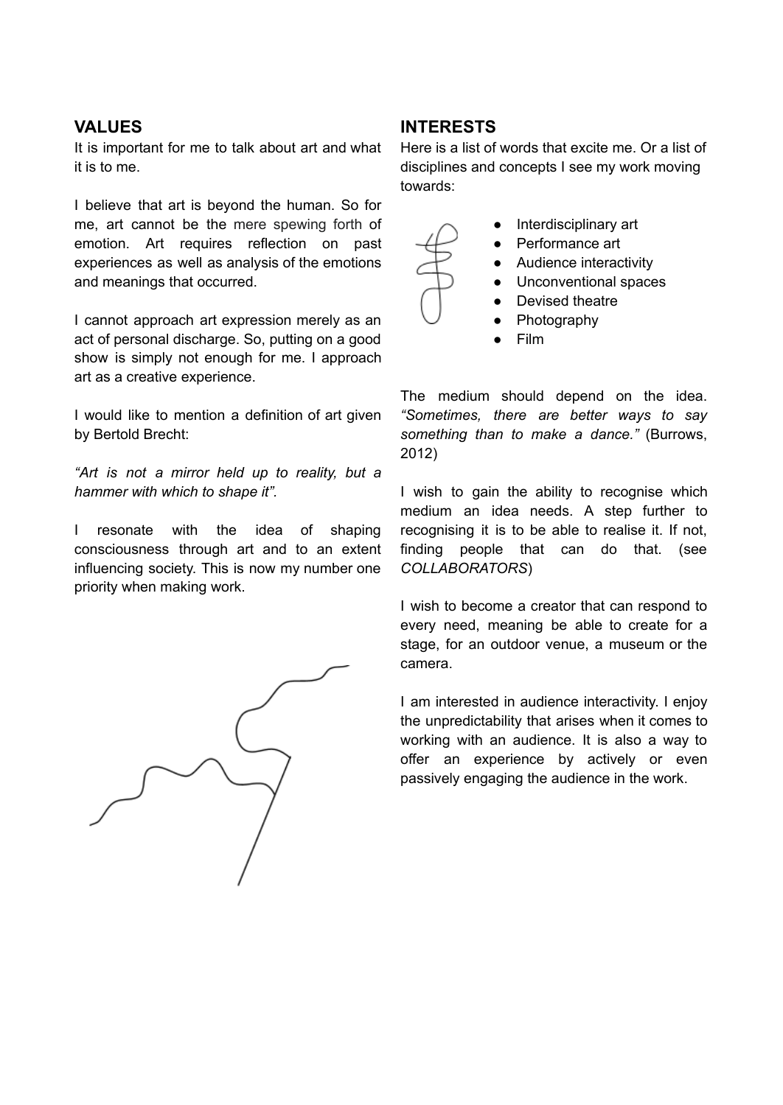### **VALUES**

It is important for me to talk about art and what it is to me.

I believe that art is beyond the human. So for me, art cannot be the mere spewing forth of emotion. Art requires reflection on past experiences as well as analysis of the emotions and meanings that occurred.

I cannot approach art expression merely as an act of personal discharge. So, putting on a good show is simply not enough for me. I approach art as a creative experience.

I would like to mention a definition of art given by Bertold Brecht:

*"Art is not a mirror held up to reality, but a hammer with which to shape it".*

I resonate with the idea of shaping consciousness through art and to an extent influencing society. This is now my number one priority when making work.



### **INTERESTS**

Here is a list of words that excite me. Or a list of disciplines and concepts I see my work moving towards:



The medium should depend on the idea. *"Sometimes, there are better ways to say something than to make a dance."* (Burrows, 2012)

I wish to gain the ability to recognise which medium an idea needs. A step further to recognising it is to be able to realise it. If not, finding people that can do that. (see *COLLABORATORS*)

I wish to become a creator that can respond to every need, meaning be able to create for a stage, for an outdoor venue, a museum or the camera.

I am interested in audience interactivity. I enjoy the unpredictability that arises when it comes to working with an audience. It is also a way to offer an experience by actively or even passively engaging the audience in the work.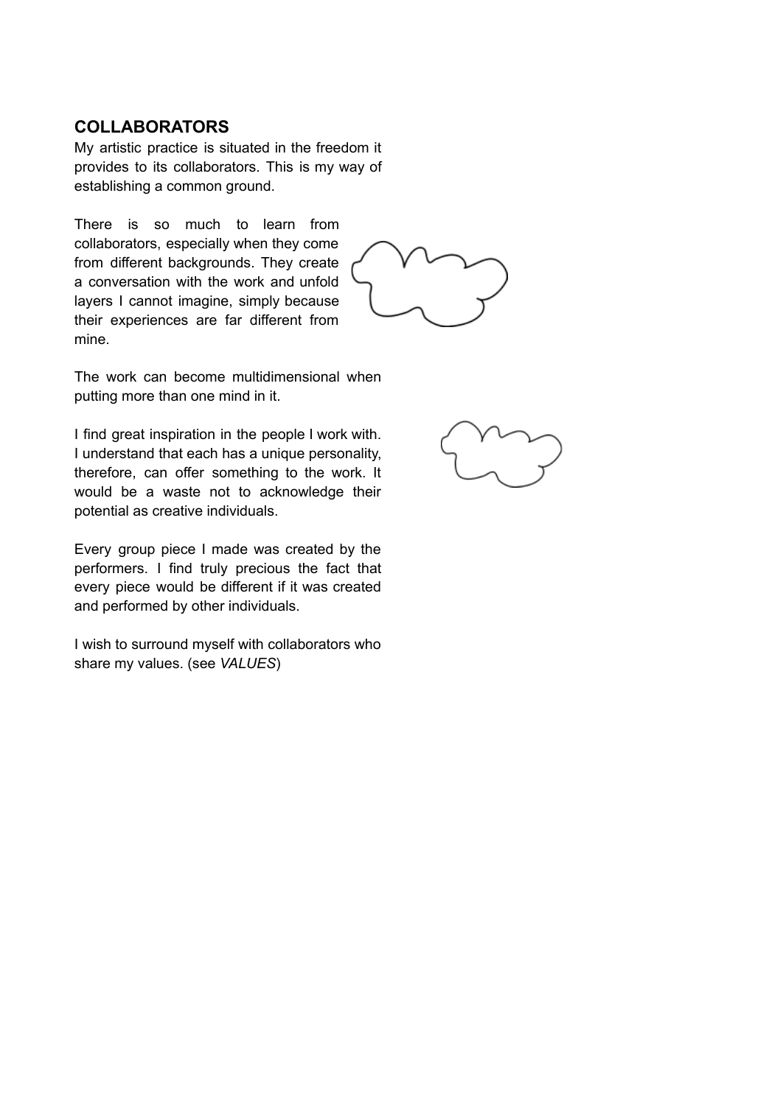#### **COLLABORATORS**

My artistic practice is situated in the freedom it provides to its collaborators. This is my way of establishing a common ground.

There is so much to learn from collaborators, especially when they come from different backgrounds. They create a conversation with the work and unfold layers I cannot imagine, simply because their experiences are far different from mine.



The work can become multidimensional when putting more than one mind in it.

I find great inspiration in the people I work with. I understand that each has a unique personality, therefore, can offer something to the work. It would be a waste not to acknowledge their potential as creative individuals.

Every group piece I made was created by the performers. I find truly precious the fact that every piece would be different if it was created and performed by other individuals.

I wish to surround myself with collaborators who share my values. (see *VALUES*)

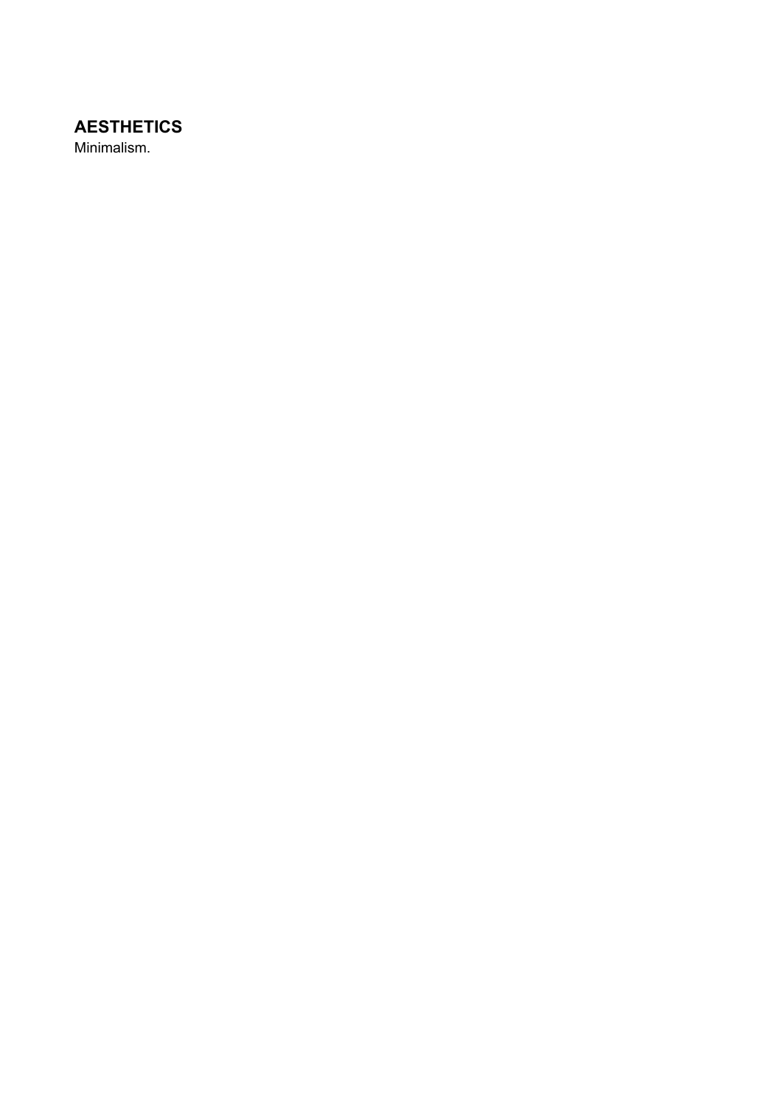# **AESTHETICS**

Minimalism.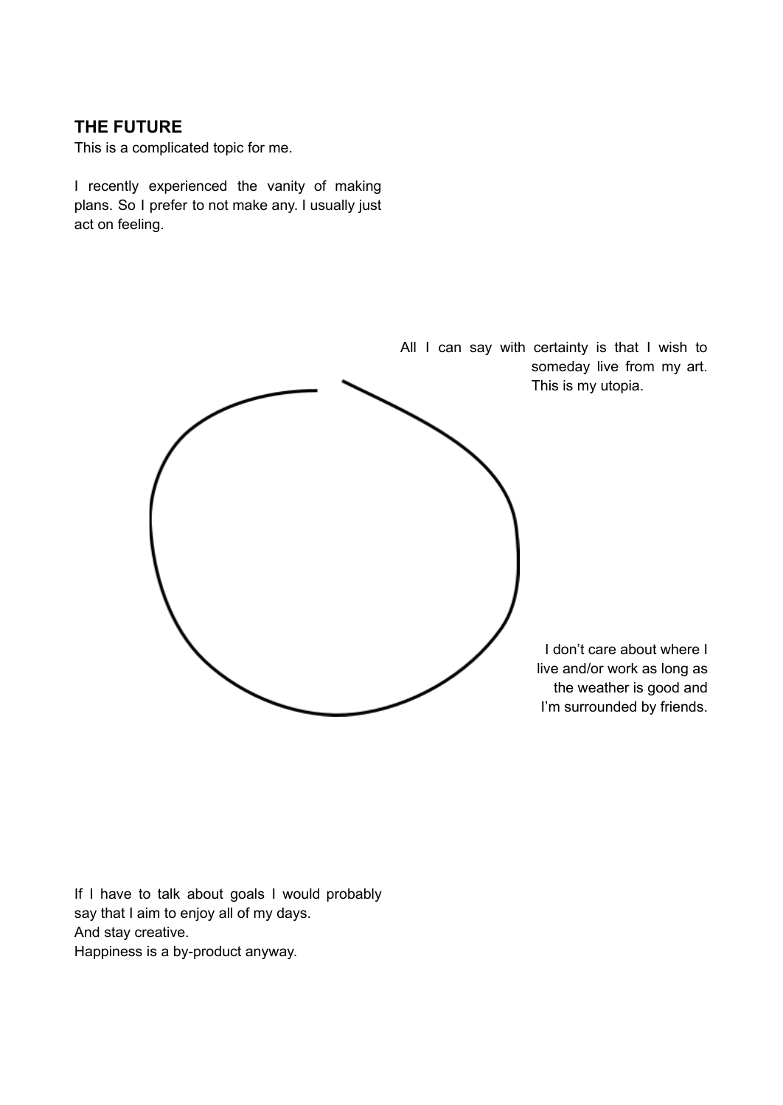## **THE FUTURE**

This is a complicated topic for me.

I recently experienced the vanity of making plans. So I prefer to not make any. I usually just act on feeling.



If I have to talk about goals I would probably say that I aim to enjoy all of my days. And stay creative. Happiness is a by-product anyway.